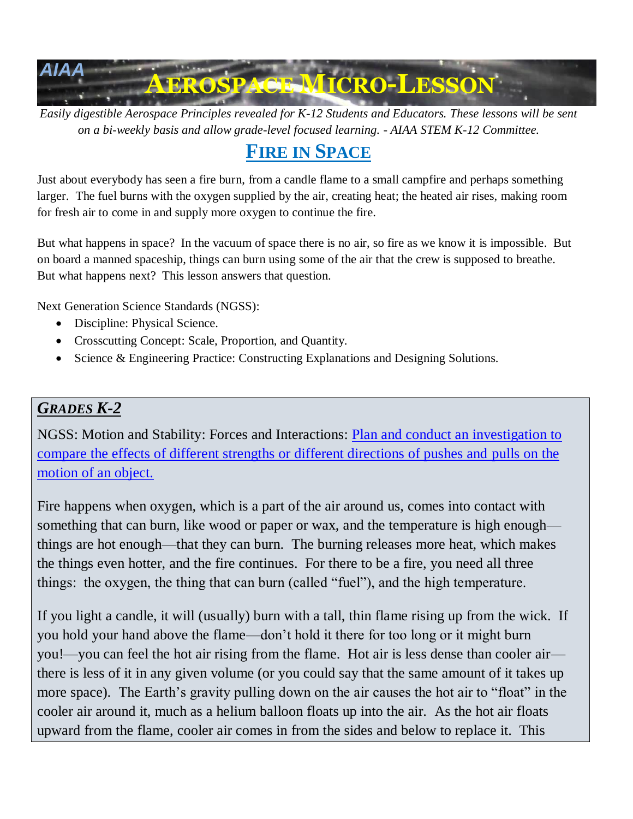

*Easily digestible Aerospace Principles revealed for K-12 Students and Educators. These lessons will be sent on a bi-weekly basis and allow grade-level focused learning. - AIAA STEM K-12 Committee.*

# **FIRE IN SPACE**

Just about everybody has seen a fire burn, from a candle flame to a small campfire and perhaps something larger. The fuel burns with the oxygen supplied by the air, creating heat; the heated air rises, making room for fresh air to come in and supply more oxygen to continue the fire.

But what happens in space? In the vacuum of space there is no air, so fire as we know it is impossible. But on board a manned spaceship, things can burn using some of the air that the crew is supposed to breathe. But what happens next? This lesson answers that question.

Next Generation Science Standards (NGSS):

- Discipline: Physical Science.
- Crosscutting Concept: Scale, Proportion, and Quantity.
- Science & Engineering Practice: Constructing Explanations and Designing Solutions.

#### *GRADES K-2*

NGSS: Motion and Stability: Forces and Interactions: [Plan and conduct an investigation to](http://www.nextgenscience.org/dci-arrangement/k-ps2-motion-and-stability-forces-and-interactions)  [compare the effects of different strengths or different directions of pushes and](http://www.nextgenscience.org/dci-arrangement/k-ps2-motion-and-stability-forces-and-interactions) pulls on the [motion of an object.](http://www.nextgenscience.org/dci-arrangement/k-ps2-motion-and-stability-forces-and-interactions)

Fire happens when oxygen, which is a part of the air around us, comes into contact with something that can burn, like wood or paper or wax, and the temperature is high enough things are hot enough—that they can burn. The burning releases more heat, which makes the things even hotter, and the fire continues. For there to be a fire, you need all three things: the oxygen, the thing that can burn (called "fuel"), and the high temperature.

If you light a candle, it will (usually) burn with a tall, thin flame rising up from the wick. If you hold your hand above the flame—don't hold it there for too long or it might burn you!—you can feel the hot air rising from the flame. Hot air is less dense than cooler air there is less of it in any given volume (or you could say that the same amount of it takes up more space). The Earth's gravity pulling down on the air causes the hot air to "float" in the cooler air around it, much as a helium balloon floats up into the air. As the hot air floats upward from the flame, cooler air comes in from the sides and below to replace it. This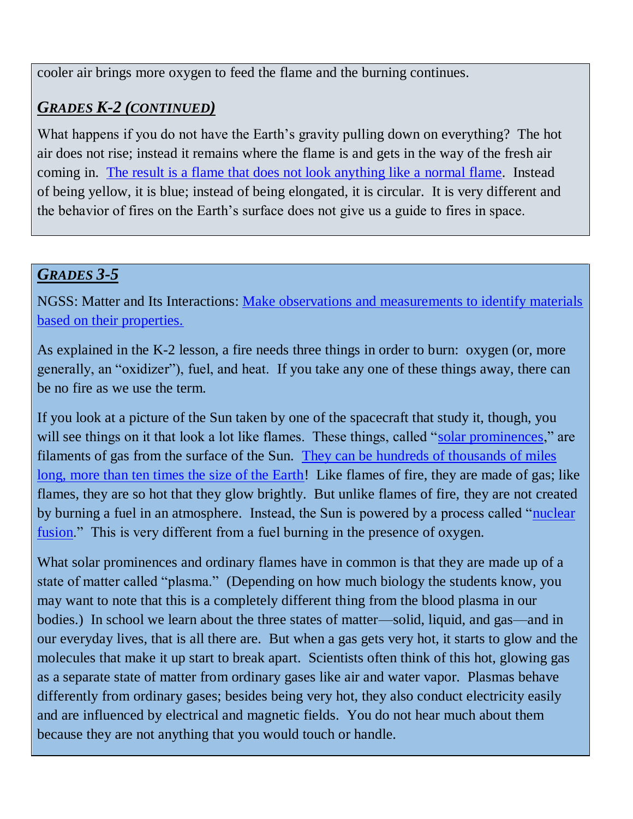cooler air brings more oxygen to feed the flame and the burning continues.

# *GRADES K-2 (CONTINUED)*

What happens if you do not have the Earth's gravity pulling down on everything? The hot air does not rise; instead it remains where the flame is and gets in the way of the fresh air coming in. [The result is a flame that does not look anything like a normal flame.](https://www.youtube.com/watch?v=DmrOzeXWxdw) Instead of being yellow, it is blue; instead of being elongated, it is circular. It is very different and the behavior of fires on the Earth's surface does not give us a guide to fires in space.

## *GRADES 3-5*

NGSS: Matter and Its Interactions: [Make observations and measurements to identify materials](http://www.nextgenscience.org/dci-arrangement/5-ps1-matter-and-its-interactions)  [based on their properties.](http://www.nextgenscience.org/dci-arrangement/5-ps1-matter-and-its-interactions)

As explained in the K-2 lesson, a fire needs three things in order to burn: oxygen (or, more generally, an "oxidizer"), fuel, and heat. If you take any one of these things away, there can be no fire as we use the term.

If you look at a picture of the Sun taken by one of the spacecraft that study it, though, you will see things on it that look a lot like flames. These things, called ["solar prominences,](http://hyperphysics.phy-astr.gsu.edu/hbase/Solar/solflare.html)" are filaments of gas from the surface of the Sun. [They can be hundreds of thousands of miles](https://www.nasa.gov/content/goddard/what-is-a-solar-prominence)  [long, more than ten times the size of the Earth!](https://www.nasa.gov/content/goddard/what-is-a-solar-prominence) Like flames of fire, they are made of gas; like flames, they are so hot that they glow brightly. But unlike flames of fire, they are not created by burning a fuel in an atmosphere. Instead, the Sun is powered by a process called ["nuclear](http://www.enchantedlearning.com/subjects/astronomy/stars/fusion.shtml)  [fusion.](http://www.enchantedlearning.com/subjects/astronomy/stars/fusion.shtml)" This is very different from a fuel burning in the presence of oxygen.

What solar prominences and ordinary flames have in common is that they are made up of a state of matter called "plasma." (Depending on how much biology the students know, you may want to note that this is a completely different thing from the blood plasma in our bodies.) In school we learn about the three states of matter—solid, liquid, and gas—and in our everyday lives, that is all there are. But when a gas gets very hot, it starts to glow and the molecules that make it up start to break apart. Scientists often think of this hot, glowing gas as a separate state of matter from ordinary gases like air and water vapor. Plasmas behave differently from ordinary gases; besides being very hot, they also conduct electricity easily and are influenced by electrical and magnetic fields. You do not hear much about them because they are not anything that you would touch or handle.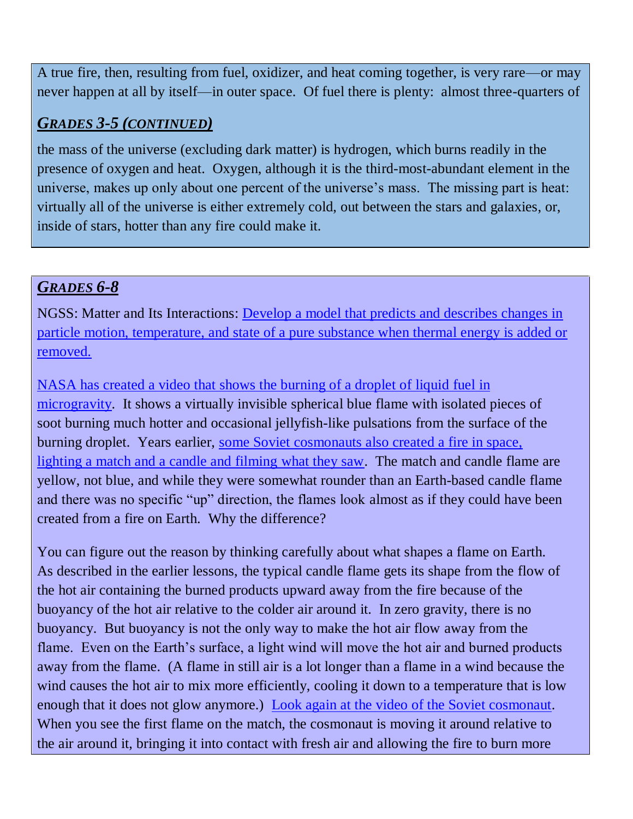A true fire, then, resulting from fuel, oxidizer, and heat coming together, is very rare—or may never happen at all by itself—in outer space. Of fuel there is plenty: almost three-quarters of

# *GRADES 3-5 (CONTINUED)*

the mass of the universe (excluding dark matter) is hydrogen, which burns readily in the presence of oxygen and heat. Oxygen, although it is the third-most-abundant element in the universe, makes up only about one percent of the universe's mass. The missing part is heat: virtually all of the universe is either extremely cold, out between the stars and galaxies, or, inside of stars, hotter than any fire could make it.

## *GRADES 6-8*

NGSS: Matter and Its Interactions: [Develop a model that predicts and describes changes in](http://www.nextgenscience.org/dci-arrangement/ms-ps1-matter-and-its-interactions)  [particle motion, temperature, and state of a pure substance when thermal energy is added or](http://www.nextgenscience.org/dci-arrangement/ms-ps1-matter-and-its-interactions)  [removed.](http://www.nextgenscience.org/dci-arrangement/ms-ps1-matter-and-its-interactions)

NASA has created a video that shows [the burning of a droplet of liquid fuel in](https://www.youtube.com/watch?v=DmrOzeXWxdw)  [microgravity.](https://www.youtube.com/watch?v=DmrOzeXWxdw) It shows a virtually invisible spherical blue flame with isolated pieces of soot burning much hotter and occasional jellyfish-like pulsations from the surface of the burning droplet. Years earlier, [some Soviet cosmonauts also created a fire in space,](https://www.youtube.com/watch?v=Gecui7ygtjY)  [lighting a match and a candle and filming what they saw.](https://www.youtube.com/watch?v=Gecui7ygtjY) The match and candle flame are yellow, not blue, and while they were somewhat rounder than an Earth-based candle flame and there was no specific "up" direction, the flames look almost as if they could have been created from a fire on Earth. Why the difference?

You can figure out the reason by thinking carefully about what shapes a flame on Earth. As described in the earlier lessons, the typical candle flame gets its shape from the flow of the hot air containing the burned products upward away from the fire because of the buoyancy of the hot air relative to the colder air around it. In zero gravity, there is no buoyancy. But buoyancy is not the only way to make the hot air flow away from the flame. Even on the Earth's surface, a light wind will move the hot air and burned products away from the flame. (A flame in still air is a lot longer than a flame in a wind because the wind causes the hot air to mix more efficiently, cooling it down to a temperature that is low enough that it does not glow anymore.) [Look again at the video of the Soviet cosmonaut.](https://www.youtube.com/watch?v=Gecui7ygtjY) When you see the first flame on the match, the cosmonaut is moving it around relative to the air around it, bringing it into contact with fresh air and allowing the fire to burn more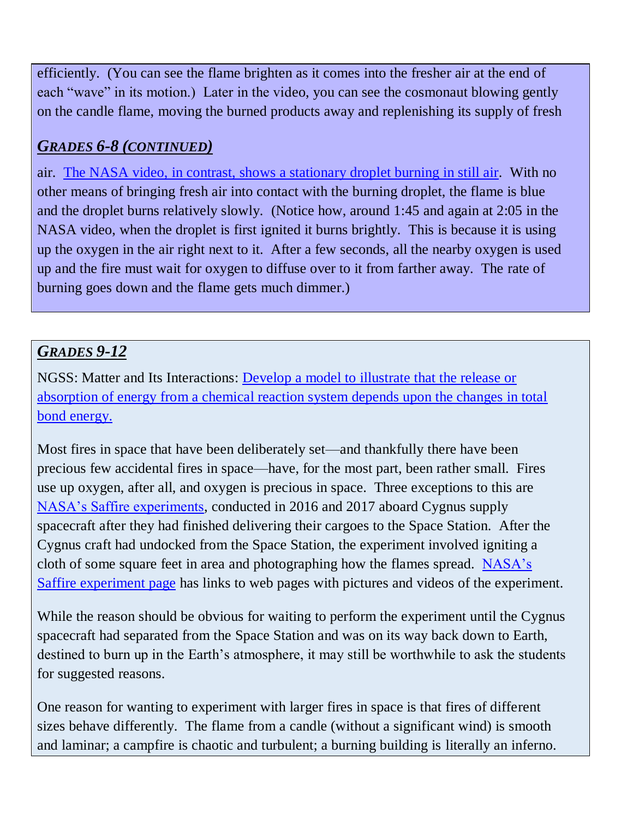efficiently. (You can see the flame brighten as it comes into the fresher air at the end of each "wave" in its motion.) Later in the video, you can see the cosmonaut blowing gently on the candle flame, moving the burned products away and replenishing its supply of fresh

# *GRADES 6-8 (CONTINUED)*

air. [The NASA video, in contrast, shows a stationary droplet burning in still air.](https://www.youtube.com/watch?v=DmrOzeXWxdw) With no other means of bringing fresh air into contact with the burning droplet, the flame is blue and the droplet burns relatively slowly. (Notice how, around 1:45 and again at 2:05 in the NASA video, when the droplet is first ignited it burns brightly. This is because it is using up the oxygen in the air right next to it. After a few seconds, all the nearby oxygen is used up and the fire must wait for oxygen to diffuse over to it from farther away. The rate of burning goes down and the flame gets much dimmer.)

# *GRADES 9-12*

NGSS: Matter and Its Interactions: [Develop a model to illustrate that the release or](http://www.nextgenscience.org/dci-arrangement/hs-ps1-matter-and-its-interactions)  [absorption of energy from a chemical reaction system depends upon the changes in total](http://www.nextgenscience.org/dci-arrangement/hs-ps1-matter-and-its-interactions)  [bond energy.](http://www.nextgenscience.org/dci-arrangement/hs-ps1-matter-and-its-interactions)

Most fires in space that have been deliberately set—and thankfully there have been precious few accidental fires in space—have, for the most part, been rather small. Fires use up oxygen, after all, and oxygen is precious in space. Three exceptions to this are [NASA's Saffire experiments,](https://www.fia.uk.com/news/fire-in-space.html) conducted in 2016 and 2017 aboard Cygnus supply spacecraft after they had finished delivering their cargoes to the Space Station. After the Cygnus craft had undocked from the Space Station, the experiment involved igniting a cloth of some square feet in area and photographing how the flames spread. [NASA's](https://www.nasa.gov/saffire)  [Saffire experiment page](https://www.nasa.gov/saffire) has links to web pages with pictures and videos of the experiment.

While the reason should be obvious for waiting to perform the experiment until the Cygnus spacecraft had separated from the Space Station and was on its way back down to Earth, destined to burn up in the Earth's atmosphere, it may still be worthwhile to ask the students for suggested reasons.

One reason for wanting to experiment with larger fires in space is that fires of different sizes behave differently. The flame from a candle (without a significant wind) is smooth and laminar; a campfire is chaotic and turbulent; a burning building is literally an inferno.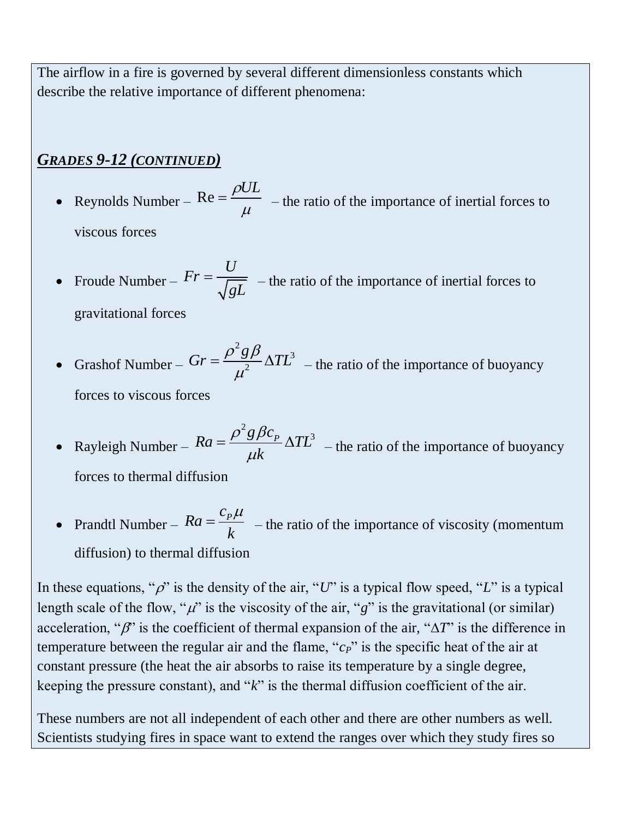The airflow in a fire is governed by several different dimensionless constants which describe the relative importance of different phenomena:

## *GRADES 9-12 (CONTINUED)*

- Reynolds Number  $Re = \frac{\rho UL}{L}$  $\mu$  $=\frac{\rho E}{\mu}$  – the ratio of the importance of inertial forces to viscous forces
- Froude Number *U Fr gL*  $=\frac{C}{\sqrt{aL}}$  – the ratio of the importance of inertial forces to gravitational forces
- Grashof Number 2 3 2  $Gr = \frac{\rho^2 g \beta}{2} \Delta T L^2$  $\mu$  $=\frac{\rho g \rho}{\rho^2} \Delta T L^3$  – the ratio of the importance of buoyancy

forces to viscous forces

- Rayleigh Number  $Ra = \frac{\rho^2 g \beta c_p}{L} \Delta T L^3$ *k*  $\rho^2 g \beta c_{\mu}$  $\mu$  $=\frac{\rho^2 g \beta c_p}{\rho L} \Delta T L^3$  – the ratio of the importance of buoyancy forces to thermal diffusion
- Prandtl Number  $Ra = \frac{c_p}{l}$ *Ra k*  $=\frac{c_p\mu}{l}$  – the ratio of the importance of viscosity (momentum diffusion) to thermal diffusion

In these equations, " $\rho$ " is the density of the air, "*U*" is a typical flow speed, "*L*" is a typical length scale of the flow, " $\mu$ " is the viscosity of the air, "g" is the gravitational (or similar) acceleration, " $\beta$ " is the coefficient of thermal expansion of the air, " $\Delta T$ " is the difference in temperature between the regular air and the flame, "*cP*" is the specific heat of the air at constant pressure (the heat the air absorbs to raise its temperature by a single degree, keeping the pressure constant), and "*k*" is the thermal diffusion coefficient of the air.

These numbers are not all independent of each other and there are other numbers as well. Scientists studying fires in space want to extend the ranges over which they study fires so